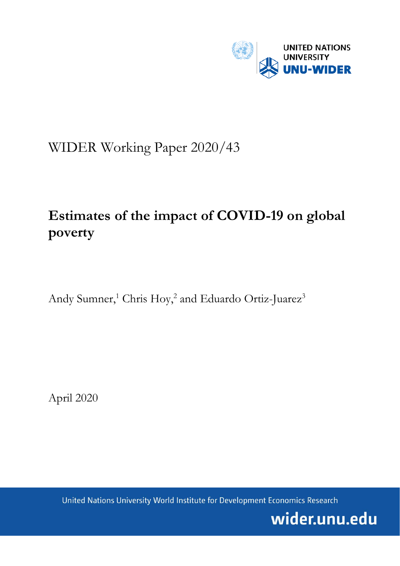

## WIDER Working Paper 2020/43

# **Estimates of the impact of COVID-19 on global poverty**

Andy Sumner,<sup>1</sup> Chris Hoy,<sup>2</sup> and Eduardo Ortiz-Juarez<sup>3</sup>

April 2020

United Nations University World Institute for Development Economics Research

wider.unu.edu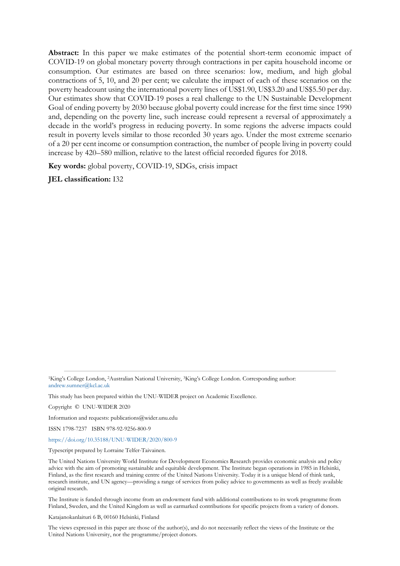**Abstract:** In this paper we make estimates of the potential short-term economic impact of COVID-19 on global monetary poverty through contractions in per capita household income or consumption. Our estimates are based on three scenarios: low, medium, and high global contractions of 5, 10, and 20 per cent; we calculate the impact of each of these scenarios on the poverty headcount using the international poverty lines of US\$1.90, US\$3.20 and US\$5.50 per day. Our estimates show that COVID-19 poses a real challenge to the UN Sustainable Development Goal of ending poverty by 2030 because global poverty could increase for the first time since 1990 and, depending on the poverty line, such increase could represent a reversal of approximately a decade in the world's progress in reducing poverty. In some regions the adverse impacts could result in poverty levels similar to those recorded 30 years ago. Under the most extreme scenario of a 20 per cent income or consumption contraction, the number of people living in poverty could increase by 420–580 million, relative to the latest official recorded figures for 2018.

**Key words:** global poverty, COVID-19, SDGs, crisis impact

**JEL classification:** I32

This study has been prepared within the UNU-WIDER project on Academic Excellence.

Copyright © UNU-WIDER 2020

Information and requests: publications@wider.unu.edu

ISSN 1798-7237 ISBN 978-92-9256-800-9

<https://doi.org/10.35188/UNU-WIDER/2020/800-9>

Typescript prepared by Lorraine Telfer-Taivainen.

The United Nations University World Institute for Development Economics Research provides economic analysis and policy advice with the aim of promoting sustainable and equitable development. The Institute began operations in 1985 in Helsinki, Finland, as the first research and training centre of the United Nations University. Today it is a unique blend of think tank, research institute, and UN agency—providing a range of services from policy advice to governments as well as freely available original research.

The Institute is funded through income from an endowment fund with additional contributions to its work programme from Finland, Sweden, and the United Kingdom as well as earmarked contributions for specific projects from a variety of donors.

Katajanokanlaituri 6 B, 00160 Helsinki, Finland

The views expressed in this paper are those of the author(s), and do not necessarily reflect the views of the Institute or the United Nations University, nor the programme/project donors.

<sup>&</sup>lt;sup>1</sup>King's College London, <sup>2</sup>Australian National University, <sup>3</sup>King's College London. Corresponding author: [andrew.sumner@kcl.ac.uk](mailto:andrew.sumner@kcl.ac.uk)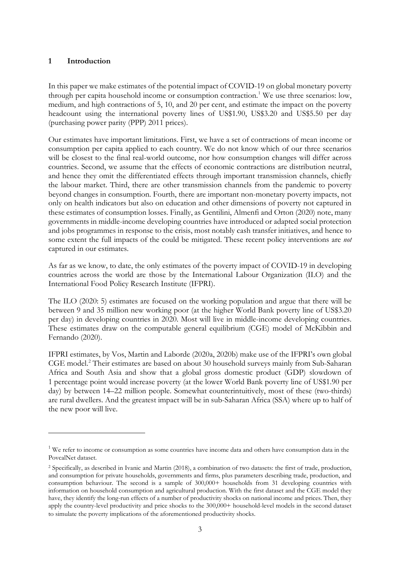#### **1 Introduction**

In this paper we make estimates of the potential impact of COVID-19 on global monetary poverty through per capita household income or consumption contraction.<sup>[1](#page-2-0)</sup> We use three scenarios: low, medium, and high contractions of 5, 10, and 20 per cent, and estimate the impact on the poverty headcount using the international poverty lines of US\$1.90, US\$3.20 and US\$5.50 per day (purchasing power parity (PPP) 2011 prices).

Our estimates have important limitations. First, we have a set of contractions of mean income or consumption per capita applied to each country. We do not know which of our three scenarios will be closest to the final real-world outcome, nor how consumption changes will differ across countries. Second, we assume that the effects of economic contractions are distribution neutral, and hence they omit the differentiated effects through important transmission channels, chiefly the labour market. Third, there are other transmission channels from the pandemic to poverty beyond changes in consumption. Fourth, there are important non-monetary poverty impacts, not only on health indicators but also on education and other dimensions of poverty not captured in these estimates of consumption losses. Finally, as Gentilini, Almenfi and Orton (2020) note, many governments in middle-income developing countries have introduced or adapted social protection and jobs programmes in response to the crisis, most notably cash transfer initiatives, and hence to some extent the full impacts of the could be mitigated. These recent policy interventions are *not* captured in our estimates.

As far as we know, to date, the only estimates of the poverty impact of COVID-19 in developing countries across the world are those by the International Labour Organization (ILO) and the International Food Policy Research Institute (IFPRI).

The ILO (2020: 5) estimates are focused on the working population and argue that there will be between 9 and 35 million new working poor (at the higher World Bank poverty line of US\$3.20 per day) in developing countries in 2020. Most will live in middle-income developing countries. These estimates draw on the computable general equilibrium (CGE) model of McKibbin and Fernando (2020).

[IFPRI estimates,](https://www.ifpri.org/blog/how-much-will-global-poverty-increase-because-covid-19) by Vos, Martin and Laborde (2020a, 2020b) make use of the IFPRI's own global CGE model.<sup>[2](#page-2-1)</sup> Their estimates are based on about 30 household surveys mainly from Sub-Saharan Africa and South Asia and show that a global gross domestic product (GDP) slowdown of 1 percentage point would increase poverty (at the lower World Bank poverty line of US\$1.90 per day) by between 14–22 million people. Somewhat counterintuitively, most of these (two-thirds) are rural dwellers. And the greatest impact will be in sub-Saharan Africa (SSA) where up to half of the new poor will live.

<span id="page-2-0"></span><sup>&</sup>lt;sup>1</sup> We refer to income or consumption as some countries have income data and others have consumption data in the PovcalNet dataset.

<span id="page-2-1"></span><sup>2</sup> Specifically, as described in Ivanic and Martin (2018), a combination of two datasets: the first of trade, production, and consumption for private households, governments and firms, plus parameters describing trade, production, and consumption behaviour. The second is a sample of 300,000+ households from 31 developing countries with information on household consumption and agricultural production. With the first dataset and the CGE model they have, they identify the long-run effects of a number of productivity shocks on national income and prices. Then, they apply the country-level productivity and price shocks to the 300,000+ household-level models in the second dataset to simulate the poverty implications of the aforementioned productivity shocks.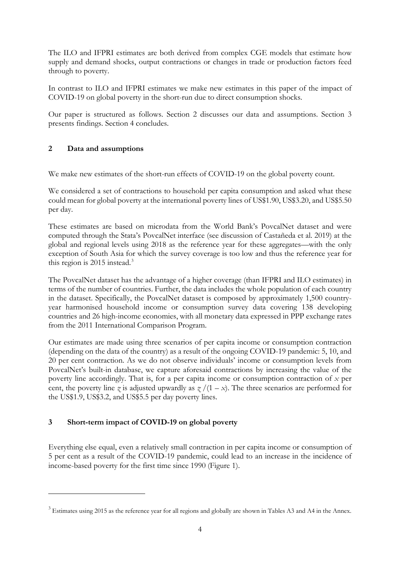The ILO and IFPRI estimates are both derived from complex CGE models that estimate how supply and demand shocks, output contractions or changes in trade or production factors feed through to poverty.

In contrast to ILO and IFPRI estimates we make new estimates in this paper of the impact of COVID-19 on global poverty in the short-run due to direct consumption shocks.

Our paper is structured as follows. Section 2 discusses our data and assumptions. Section 3 presents findings. Section 4 concludes.

### **2 Data and assumptions**

We make new estimates of the short-run effects of COVID-19 on the global poverty count.

We considered a set of contractions to household per capita consumption and asked what these could mean for global poverty at the international poverty lines of US\$1.90, US\$3.20, and US\$5.50 per day.

These estimates are based on microdata from the World Bank's PovcalNet dataset and were computed through the Stata's PovcalNet interface (see discussion of Castañeda et al. 2019) at the global and regional levels using 2018 as the reference year for these aggregates—with the only exception of South Asia for which the survey coverage is too low and thus the reference year for this region is 2015 instead. [3](#page-3-0)

The PovcalNet dataset has the advantage of a higher coverage (than IFPRI and ILO estimates) in terms of the number of countries. Further, the data includes the whole population of each country in the dataset. Specifically, the PovcalNet dataset is composed by approximately 1,500 countryyear harmonised household income or consumption survey data covering 138 developing countries and 26 high-income economies, with all monetary data expressed in PPP exchange rates from the 2011 International Comparison Program.

Our estimates are made using three scenarios of per capita income or consumption contraction (depending on the data of the country) as a result of the ongoing COVID-19 pandemic: 5, 10, and 20 per cent contraction. As we do not observe individuals' income or consumption levels from PovcalNet's built-in database, we capture aforesaid contractions by increasing the value of the poverty line accordingly. That is, for a per capita income or consumption contraction of *x* per cent, the poverty line *z* is adjusted upwardly as  $\frac{x}{1-x}$ . The three scenarios are performed for the US\$1.9, US\$3.2, and US\$5.5 per day poverty lines.

### **3 Short-term impact of COVID-19 on global poverty**

Everything else equal, even a relatively small contraction in per capita income or consumption of 5 per cent as a result of the COVID-19 pandemic, could lead to an increase in the incidence of income-based poverty for the first time since 1990 (Figure 1).

<span id="page-3-0"></span><sup>&</sup>lt;sup>3</sup> Estimates using 2015 as the reference year for all regions and globally are shown in Tables A3 and A4 in the Annex.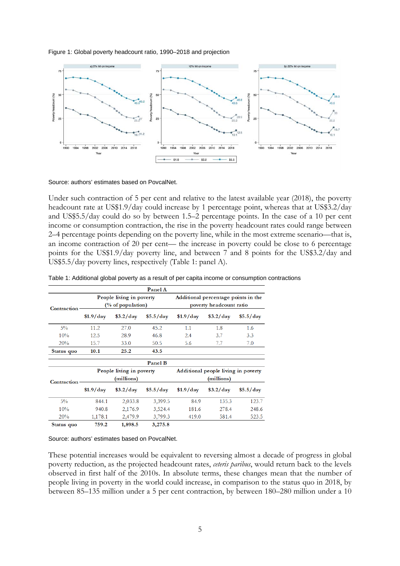#### Figure 1: Global poverty headcount ratio, 1990–2018 and projection



Source: authors' estimates based on PovcalNet.

Under such contraction of 5 per cent and relative to the latest available year (2018), the poverty headcount rate at US\$1.9/day could increase by 1 percentage point, whereas that at US\$3.2/day and US\$5.5/day could do so by between 1.5–2 percentage points. In the case of a 10 per cent income or consumption contraction, the rise in the poverty headcount rates could range between 2–4 percentage points depending on the poverty line, while in the most extreme scenario—that is, an income contraction of 20 per cent— the increase in poverty could be close to 6 percentage points for the US\$1.9/day poverty line, and between 7 and 8 points for the US\$3.2/day and US\$5.5/day poverty lines, respectively (Table 1: panel A).

|             |            |                          | Panel A   |            |                                     |           |
|-------------|------------|--------------------------|-----------|------------|-------------------------------------|-----------|
|             |            | People living in poverty |           |            | Additional percentage points in the |           |
| Contraction |            | (% of population)        |           |            | poverty headcount ratio             |           |
|             | \$1.9/day  | $$3.2$ /day              | \$5.5/day | $$1.9$ day | $$3.2$ day                          | \$5.5/dav |
| $5\%$       | 11.2       | 27.0                     | 45.2      | 1.1        | 1.8                                 | 1.6       |
| 10%         | 12.5       | 28.9                     | 46.8      | 2.4        | 3.7                                 | 3.3       |
| 20%         | 15.7       | 33.0                     | 50.5      | 5.6        | 7.7                                 | 7.0       |
| Status quo  | 10.1       | 25.2                     | 43.5      |            |                                     |           |
|             |            |                          | Panel B   |            |                                     |           |
|             |            | People living in poverty |           |            | Additional people living in poverty |           |
| Contraction |            | (millions)               |           |            | (millions)                          |           |
|             | $$1.9$ day | $$3.2$ /day              | \$5.5/day | $$1.9$ day | $$3.2$ day                          | \$5.5/dav |
| $5\%$       | 844.1      | 2,033.8                  | 3,399.5   | 84.9       | 135.3                               | 123.7     |
| 10%         | 940.8      | 2,176.9                  | 3,524.4   | 181.6      | 278.4                               | 248.6     |
| 20%         | 1,178.1    | 2,479.9                  | 3,799.3   | 419.0      | 581.4                               | 523.5     |
| Status quo  | 759.2      | 1.898.5                  | 3,275.8   |            |                                     |           |

Table 1: Additional global poverty as a result of per capita income or consumption contractions

Source: authors' estimates based on PovcalNet.

These potential increases would be equivalent to reversing almost a decade of progress in global poverty reduction, as the projected headcount rates, *ceteris paribus*, would return back to the levels observed in first half of the 2010s. In absolute terms, these changes mean that the number of people living in poverty in the world could increase, in comparison to the status quo in 2018, by between 85–135 million under a 5 per cent contraction, by between 180–280 million under a 10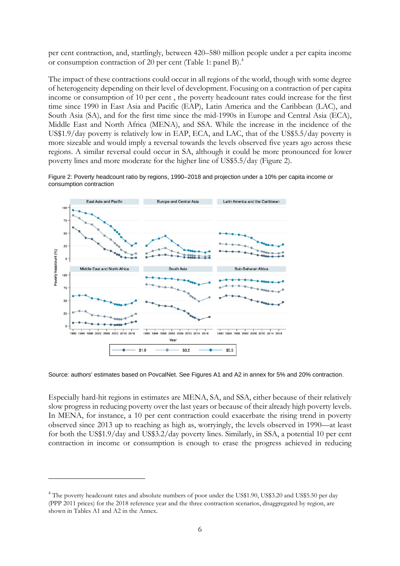per cent contraction, and, startlingly, between 420–580 million people under a per capita income or consumption contraction of 20 per cent (Table 1: panel B). [4](#page-5-0)

The impact of these contractions could occur in all regions of the world, though with some degree of heterogeneity depending on their level of development. Focusing on a contraction of per capita income or consumption of 10 per cent , the poverty headcount rates could increase for the first time since 1990 in East Asia and Pacific (EAP), Latin America and the Caribbean (LAC), and South Asia (SA), and for the first time since the mid-1990s in Europe and Central Asia (ECA), Middle East and North Africa (MENA), and SSA. While the increase in the incidence of the US\$1.9/day poverty is relatively low in EAP, ECA, and LAC, that of the US\$5.5/day poverty is more sizeable and would imply a reversal towards the levels observed five years ago across these regions. A similar reversal could occur in SA, although it could be more pronounced for lower poverty lines and more moderate for the higher line of US\$5.5/day (Figure 2).

Figure 2: Poverty headcount ratio by regions, 1990–2018 and projection under a 10% per capita income or consumption contraction



Source: authors' estimates based on PovcalNet. See Figures A1 and A2 in annex for 5% and 20% contraction.

Especially hard-hit regions in estimates are MENA, SA, and SSA, either because of their relatively slow progress in reducing poverty over the last years or because of their already high poverty levels. In MENA, for instance, a 10 per cent contraction could exacerbate the rising trend in poverty observed since 2013 up to reaching as high as, worryingly, the levels observed in 1990—at least for both the US\$1.9/day and US\$3.2/day poverty lines. Similarly, in SSA, a potential 10 per cent contraction in income or consumption is enough to erase the progress achieved in reducing

<span id="page-5-0"></span><sup>&</sup>lt;sup>4</sup> The poverty headcount rates and absolute numbers of poor under the US\$1.90, US\$3.20 and US\$5.50 per day (PPP 2011 prices) for the 2018 reference year and the three contraction scenarios, disaggregated by region, are shown in Tables A1 and A2 in the Annex.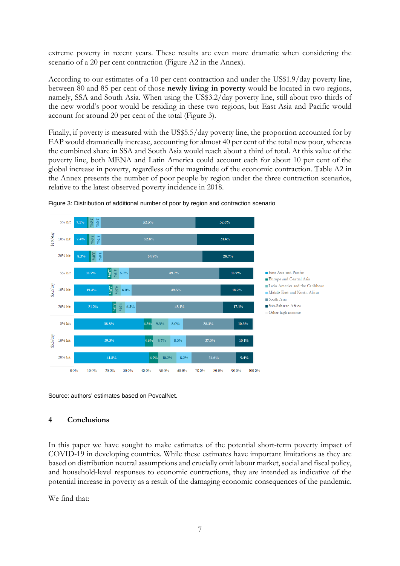extreme poverty in recent years. These results are even more dramatic when considering the scenario of a 20 per cent contraction (Figure A2 in the Annex).

According to our estimates of a 10 per cent contraction and under the US\$1.9/day poverty line, between 80 and 85 per cent of those **newly living in poverty** would be located in two regions, namely, SSA and South Asia. When using the US\$3.2/day poverty line, still about two thirds of the new world's poor would be residing in these two regions, but East Asia and Pacific would account for around 20 per cent of the total (Figure 3).

Finally, if poverty is measured with the US\$5.5/day poverty line, the proportion accounted for by EAP would dramatically increase, accounting for almost 40 per cent of the total new poor, whereas the combined share in SSA and South Asia would reach about a third of total. At this value of the poverty line, both MENA and Latin America could account each for about 10 per cent of the global increase in poverty, regardless of the magnitude of the economic contraction. Table A2 in the Annex presents the number of poor people by region under the three contraction scenarios, relative to the latest observed poverty incidence in 2018.





Source: authors' estimates based on PovcalNet.

### **4 Conclusions**

In this paper we have sought to make estimates of the potential short-term poverty impact of COVID-19 in developing countries. While these estimates have important limitations as they are based on distribution neutral assumptions and crucially omit labour market, social and fiscal policy, and household-level responses to economic contractions, they are intended as indicative of the potential increase in poverty as a result of the damaging economic consequences of the pandemic.

We find that: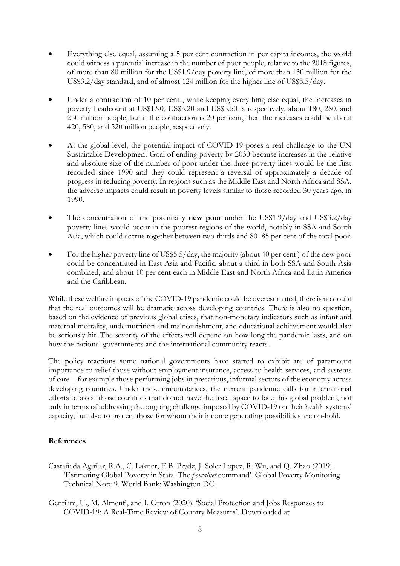- Everything else equal, assuming a 5 per cent contraction in per capita incomes, the world could witness a potential increase in the number of poor people, relative to the 2018 figures, of more than 80 million for the US\$1.9/day poverty line, of more than 130 million for the US\$3.2/day standard, and of almost 124 million for the higher line of US\$5.5/day.
- Under a contraction of 10 per cent, while keeping everything else equal, the increases in poverty headcount at US\$1.90, US\$3.20 and US\$5.50 is respectively, about 180, 280, and 250 million people, but if the contraction is 20 per cent, then the increases could be about 420, 580, and 520 million people, respectively.
- At the global level, the potential impact of COVID-19 poses a real challenge to the UN Sustainable Development Goal of ending poverty by 2030 because increases in the relative and absolute size of the number of poor under the three poverty lines would be the first recorded since 1990 and they could represent a reversal of approximately a decade of progress in reducing poverty. In regions such as the Middle East and North Africa and SSA, the adverse impacts could result in poverty levels similar to those recorded 30 years ago, in 1990.
- The concentration of the potentially **new poor** under the US\$1.9/day and US\$3.2/day poverty lines would occur in the poorest regions of the world, notably in SSA and South Asia, which could accrue together between two thirds and 80–85 per cent of the total poor.
- For the higher poverty line of US\$5.5/day, the majority (about 40 per cent ) of the new poor could be concentrated in East Asia and Pacific, about a third in both SSA and South Asia combined, and about 10 per cent each in Middle East and North Africa and Latin America and the Caribbean.

While these welfare impacts of the COVID-19 pandemic could be overestimated, there is no doubt that the real outcomes will be dramatic across developing countries. There is also no question, based on the evidence of previous global crises, that non-monetary indicators such as infant and maternal mortality, undernutrition and malnourishment, and educational achievement would also be seriously hit. The severity of the effects will depend on how long the pandemic lasts, and on how the national governments and the international community reacts.

The policy reactions some national governments have started to exhibit are of paramount importance to relief those without employment insurance, access to health services, and systems of care—for example those performing jobs in precarious, informal sectors of the economy across developing countries. Under these circumstances, the current pandemic calls for international efforts to assist those countries that do not have the fiscal space to face this global problem, not only in terms of addressing the ongoing challenge imposed by COVID-19 on their health systems' capacity, but also to protect those for whom their income generating possibilities are on-hold.

### **References**

- Castañeda Aguilar, R.A., C. Lakner, E.B. Prydz, J. Soler Lopez, R. Wu, and Q. Zhao (2019). 'Estimating Global Poverty in Stata. The *povcalnet* command'. Global Poverty Monitoring Technical Note 9. World Bank: Washington DC.
- Gentilini, U., M. Almenfi, and I. Orton (2020). 'Social Protection and Jobs Responses to COVID-19: A Real-Time Review of Country Measures'. Downloaded at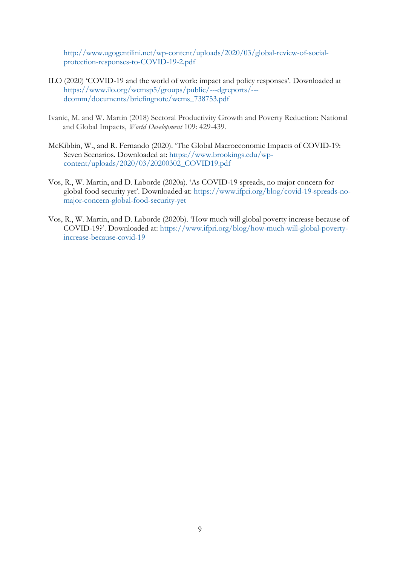[http://www.ugogentilini.net/wp-content/uploads/2020/03/global-review-of-social](http://www.ugogentilini.net/wp-content/uploads/2020/03/global-review-of-social-protection-responses-to-COVID-19-2.pdf)[protection-responses-to-COVID-19-2.pdf](http://www.ugogentilini.net/wp-content/uploads/2020/03/global-review-of-social-protection-responses-to-COVID-19-2.pdf)

- ILO (2020) 'COVID-19 and the world of work: impact and policy responses'. Downloaded at [https://www.ilo.org/wcmsp5/groups/public/---dgreports/--](https://www.ilo.org/wcmsp5/groups/public/---dgreports/---dcomm/documents/briefingnote/wcms_738753.pdf) [dcomm/documents/briefingnote/wcms\\_738753.pdf](https://www.ilo.org/wcmsp5/groups/public/---dgreports/---dcomm/documents/briefingnote/wcms_738753.pdf)
- Ivanic, M. and W. Martin (2018) Sectoral Productivity Growth and Poverty Reduction: National and Global Impacts, *World Development* 109: 429-439.
- McKibbin, W., and R. Fernando (2020). 'The Global Macroeconomic Impacts of COVID-19: Seven Scenarios. Downloaded at: [https://www.brookings.edu/wp](https://www.brookings.edu/wp-content/uploads/2020/03/20200302_COVID19.pdf)[content/uploads/2020/03/20200302\\_COVID19.pdf](https://www.brookings.edu/wp-content/uploads/2020/03/20200302_COVID19.pdf)
- Vos, R., W. Martin, and D. Laborde (2020a). 'As COVID-19 spreads, no major concern for global food security yet'. Downloaded at: [https://www.ifpri.org/blog/covid-19-spreads-no](https://www.ifpri.org/blog/covid-19-spreads-no-major-concern-global-food-security-yet)[major-concern-global-food-security-yet](https://www.ifpri.org/blog/covid-19-spreads-no-major-concern-global-food-security-yet)
- Vos, R., W. Martin, and D. Laborde (2020b). 'How much will global poverty increase because of COVID-19?'. Downloaded at: [https://www.ifpri.org/blog/how-much-will-global-poverty](https://www.ifpri.org/blog/how-much-will-global-poverty-increase-because-covid-19)[increase-because-covid-19](https://www.ifpri.org/blog/how-much-will-global-poverty-increase-because-covid-19)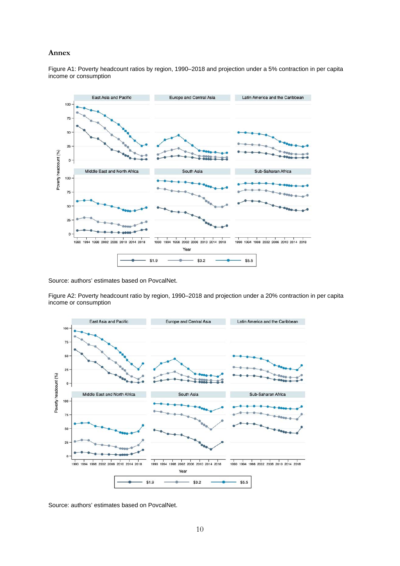#### **Annex**

Figure A1: Poverty headcount ratios by region, 1990–2018 and projection under a 5% contraction in per capita income or consumption



Source: authors' estimates based on PovcalNet.

Figure A2: Poverty headcount ratio by region, 1990–2018 and projection under a 20% contraction in per capita income or consumption



Source: authors' estimates based on PovcalNet.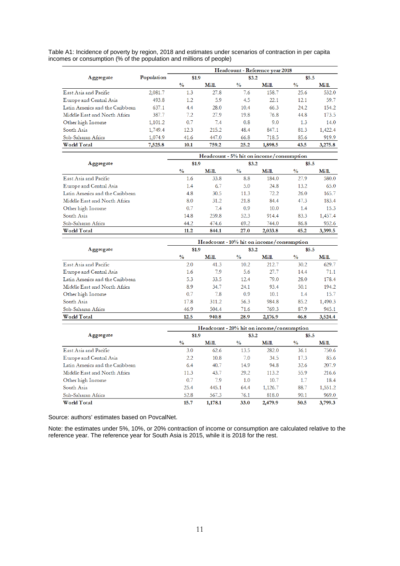Table A1: Incidence of poverty by region, 2018 and estimates under scenarios of contraction in per capita incomes or consumption (% of the population and millions of people)

|                                 |            | Headcount - Reference year 2018 |       |               |         |               |         |  |
|---------------------------------|------------|---------------------------------|-------|---------------|---------|---------------|---------|--|
| Aggregate                       | Population | \$1.9                           |       | \$3.2         |         | \$5.5         |         |  |
|                                 |            | $\frac{0}{0}$                   | Mill. | $\frac{0}{0}$ | Mill.   | $\frac{0}{0}$ | Mill.   |  |
| East Asia and Pacific           | 2,081.7    | 1.3                             | 27.8  | 7.6           | 158.7   | 25.6          | 532.0   |  |
| Europe and Central Asia         | 493.8      | 1.2                             | 5.9   | 4.5           | 22.1    | 12.1          | 59.7    |  |
| Latin America and the Caribbean | 637.1      | 4.4                             | 28.0  | 10.4          | 66.3    | 24.2          | 154.2   |  |
| Middle East and North Africa    | 387.7      | 7.2                             | 27.9  | 19.8          | 76.8    | 44.8          | 173.5   |  |
| Other high Income               | 1,101.2    | 0.7                             | 7.4   | 0.8           | 9.0     | 1.3           | 14.0    |  |
| South Asia                      | 1,749.4    | 12.3                            | 215.2 | 48.4          | 847.1   | 81.3          | 1,422.4 |  |
| Sub-Saharan Africa              | 1,074.9    | 41.6                            | 447.0 | 66.8          | 718.5   | 85.6          | 919.9   |  |
| World Total                     | 7,525.8    | 10.1                            | 759.2 | 25.2          | 1,898.5 | 43.5          | 3,275.8 |  |

|                                 | Headcount - 5% hit on income/consumption |       |               |         |               |         |  |  |
|---------------------------------|------------------------------------------|-------|---------------|---------|---------------|---------|--|--|
| Aggregate                       | \$1.9                                    |       |               | \$3.2\$ |               | \$5.5   |  |  |
|                                 | $\frac{0}{0}$                            | Mill. | $\frac{0}{0}$ | Mill.   | $\frac{0}{0}$ | Mill.   |  |  |
| East Asia and Pacific           | 1.6                                      | 33.8  | 8.8           | 184.0   | 27.9          | 580.0   |  |  |
| Europe and Central Asia         | 1.4                                      | 6.7   | 5.0           | 24.8    | 13.2          | 65.0    |  |  |
| Latin America and the Caribbean | 4.8                                      | 30.5  | 11.3          | 72.2    | 26.0          | 165.7   |  |  |
| Middle East and North Africa    | 8.0                                      | 31.2  | 21.8          | 84.4    | 47.3          | 183.4   |  |  |
| Other high Income               | 0.7                                      | 7.4   | 0.9           | 10.0    | 1.4           | 15.3    |  |  |
| South Asia                      | 14.8                                     | 259.8 | 52.3          | 914.4   | 83.3          | 1,457.4 |  |  |
| Sub-Saharan Africa              | 44.2                                     | 474.6 | 69.2          | 744.0   | 86.8          | 932.6   |  |  |
| World Total                     | 11.2                                     | 844.1 | 27.0          | 2.033.8 | 45.2          | 3.399.5 |  |  |

|                                 | $Headcount - 10%$ hit on income/consumption |       |               |         |               |         |  |  |
|---------------------------------|---------------------------------------------|-------|---------------|---------|---------------|---------|--|--|
| Aggregate                       | \$1.9                                       |       | \$3.2\$       |         | \$5.5         |         |  |  |
|                                 | $\frac{0}{0}$                               | Mill. | $\frac{0}{0}$ | Mill.   | $\frac{0}{0}$ | Mill.   |  |  |
| East Asia and Pacific           | 2.0                                         | 41.3  | 10.2          | 212.7   | 30.2          | 629.7   |  |  |
| Europe and Central Asia         | 1.6                                         | 7.9   | 5.6           | 27.7    | 14.4          | 71.1    |  |  |
| Latin America and the Caribbean | 5.3                                         | 33.5  | 12.4          | 79.0    | 28.0          | 178.4   |  |  |
| Middle East and North Africa    | 8.9                                         | 34.7  | 24.1          | 93.4    | 50.1          | 194.2   |  |  |
| Other high Income               | 0.7                                         | 7.8   | 0.9           | 10.1    | 1.4           | 15.7    |  |  |
| South Asia                      | 17.8                                        | 311.2 | 56.3          | 984.8   | 85.2          | 1,490.3 |  |  |
| Sub-Saharan Africa              | 46.9                                        | 504.4 | 71.6          | 769.3   | 87.9          | 945.1   |  |  |
| World Total                     | 12.5                                        | 940.8 | 28.9          | 2,176.9 | 46.8          | 3.524.4 |  |  |

|                                 | Headcount - 20% hit on income/consumption |         |               |         |               |         |  |  |
|---------------------------------|-------------------------------------------|---------|---------------|---------|---------------|---------|--|--|
| Aggregate                       | \$1.9                                     |         |               | \$3.2\$ |               | \$5.5   |  |  |
|                                 | $\frac{0}{0}$                             | Mill.   | $\frac{0}{0}$ | Mill.   | $\frac{0}{0}$ | Mill.   |  |  |
| East Asia and Pacific           | 3.0                                       | 62.6    | 13.5          | 282.0   | 36.1          | 750.6   |  |  |
| Europe and Central Asia         | $2.2\phantom{0}$                          | 10.8    | 7.0           | 34.5    | 17.3          | 85.6    |  |  |
| Latin America and the Caribbean | 6.4                                       | 40.7    | 14.9          | 94.8    | 32.6          | 207.9   |  |  |
| Middle East and North Africa    | 11.3                                      | 43.7    | 29.2          | 113.2   | 55.9          | 216.6   |  |  |
| Other high Income               | 0.7                                       | 7.9     | 1.0           | 10.7    | 1.7           | 18.4    |  |  |
| South Asia                      | 25.4                                      | 445.1   | 64.4          | 1,126.7 | 88.7          | 1,551.2 |  |  |
| Sub-Saharan Africa              | 52.8                                      | 567.3   | 76.1          | 818.0   | 90.1          | 969.0   |  |  |
| World Total                     | 15.7                                      | 1,178.1 | 33.0          | 2,479.9 | 50.5          | 3,799.3 |  |  |

Source: authors' estimates based on PovcalNet.

Note: the estimates under 5%, 10%, or 20% contraction of income or consumption are calculated relative to the reference year. The reference year for South Asia is 2015, while it is 2018 for the rest.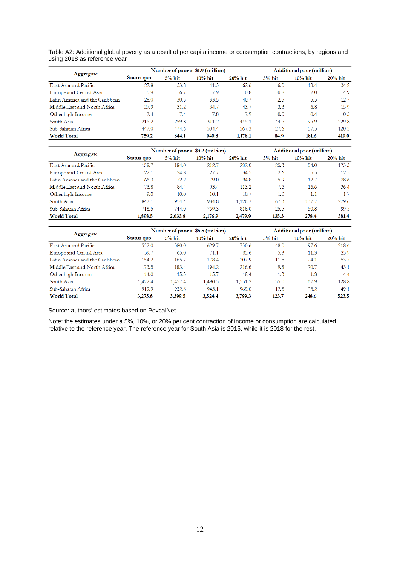Table A2: Additional global poverty as a result of per capita income or consumption contractions, by regions and using 2018 as reference year

| Aggregate                       |            |           | Number of poor at \$1.9 (million) | Additional poor (million) |          |            |            |
|---------------------------------|------------|-----------|-----------------------------------|---------------------------|----------|------------|------------|
|                                 | Status quo | $5\%$ hit | $10\%$ hit                        | $20%$ hit                 | $5%$ hit | $10\%$ hit | $20\%$ hit |
| East Asia and Pacific           | 27.8       | 33.8      | 41.3                              | 62.6                      | 6.0      | 13.4       | 34.8       |
| Europe and Central Asia         | 5.9        | 6.7       | 7.9                               | 10.8                      | 0.8      | 2.0        | 4.9        |
| Latin America and the Caribbean | 28.0       | 30.5      | 33.5                              | 40.7                      | 2.5      | 5.5        | 12.7       |
| Middle East and North Africa    | 27.9       | 31.2      | 34.7                              | 43.7                      | 3.3      | 6.8        | 15.9       |
| Other high Income               | 7.4        | 7.4       | 7.8                               | 7.9                       | 0.0      | 0.4        | 0.5        |
| South Asia                      | 215.2      | 259.8     | 311.2                             | 445.1                     | 44.5     | 95.9       | 229.8      |
| Sub-Saharan Africa              | 447.0      | 474.6     | 504.4                             | 567.3                     | 27.6     | 57.5       | 120.3      |
| <b>World Total</b>              | 759.2      | 844.1     | 940.8                             | 1,178.1                   | 84.9     | 181.6      | 419.0      |

|                                 |            |          | Number of poor at \$3.2 (million) |           |          | Additional poor (million) |            |  |  |
|---------------------------------|------------|----------|-----------------------------------|-----------|----------|---------------------------|------------|--|--|
| Aggregate                       | Status quo | $5%$ hit | $10\%$ hit                        | $20%$ hit | $5%$ hit | $10\%$ hit                | $20\%$ hit |  |  |
| East Asia and Pacific           | 158.7      | 184.0    | 212.7                             | 282.0     | 25.3     | 54.0                      | 123.3      |  |  |
| Europe and Central Asia         | 22.1       | 24.8     | 27.7                              | 34.5      | 2.6      | 5.5                       | 12.3       |  |  |
| Latin America and the Caribbean | 66.3       | 72.2     | 79.0                              | 94.8      | 5.9      | 12.7                      | 28.6       |  |  |
| Middle East and North Africa    | 76.8       | 84.4     | 93.4                              | 113.2     | 7.6      | 16.6                      | 36.4       |  |  |
| Other high Income               | 9.0        | 10.0     | 10.1                              | 10.7      | 1.0      | 1.1                       | 1.7        |  |  |
| South Asia                      | 847.1      | 914.4    | 984.8                             | 1,126.7   | 67.3     | 137.7                     | 279.6      |  |  |
| Sub-Saharan Africa              | 718.5      | 744.0    | 769.3                             | 818.0     | 25.5     | 50.8                      | 99.5       |  |  |
| <b>World Total</b>              | 1.898.5    | 2,033.8  | 2,176.9                           | 2.479.9   | 135.3    | 278.4                     | 581.4      |  |  |

|                                 |            |          | Number of poor at \$5.5 (million) | Additional poor (million) |          |            |            |
|---------------------------------|------------|----------|-----------------------------------|---------------------------|----------|------------|------------|
| Aggregate                       | Status quo | $5%$ hit | $10\%$ hit                        | $20%$ hit                 | $5%$ hit | $10\%$ hit | $20\%$ hit |
| East Asia and Pacific           | 532.0      | 580.0    | 629.7                             | 750.6                     | 48.0     | 97.6       | 218.6      |
| Europe and Central Asia         | 59.7       | 65.0     | 71.1                              | 85.6                      | 5.3      | 11.3       | 25.9       |
| Latin America and the Caribbean | 154.2      | 165.7    | 178.4                             | 207.9                     | 11.5     | 24.1       | 53.7       |
| Middle East and North Africa    | 173.5      | 183.4    | 194.2                             | 216.6                     | 9.8      | 20.7       | 43.1       |
| Other high Income               | 14.0       | 15.3     | 15.7                              | 18.4                      | 1.3      | 1.8        | 4.4        |
| South Asia                      | 1,422.4    | 1,457.4  | 1,490.3                           | 1,551.2                   | 35.0     | 67.9       | 128.8      |
| Sub-Saharan Africa              | 919.9      | 932.6    | 945.1                             | 969.0                     | 12.8     | 25.2       | 49.1       |
| <b>World Total</b>              | 3.275.8    | 3.399.5  | 3.524.4                           | 3,799.3                   | 123.7    | 248.6      | 523.5      |

Source: authors' estimates based on PovcalNet.

Note: the estimates under a 5%, 10%, or 20% per cent contraction of income or consumption are calculated relative to the reference year. The reference year for South Asia is 2015, while it is 2018 for the rest.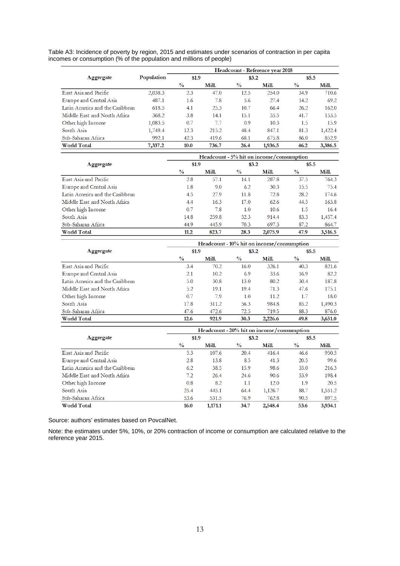Table A3: Incidence of poverty by region, 2015 and estimates under scenarios of contraction in per capita incomes or consumption (% of the population and millions of people)

|                                 |            | Headcount - Reference year 2018 |       |               |         |               |         |  |
|---------------------------------|------------|---------------------------------|-------|---------------|---------|---------------|---------|--|
| Aggregate                       | Population | \$1.9                           |       | \$3.2\$       |         | \$5.5         |         |  |
|                                 |            | $\frac{0}{0}$                   | Mill. | $\frac{0}{0}$ | Mill.   | $\frac{0}{0}$ | Mill.   |  |
| East Asia and Pacific           | 2,038.3    | 2.3                             | 47.0  | 12.5          | 254.0   | 34.9          | 710.6   |  |
| Europe and Central Asia         | 487.1      | 1.6                             | 7.8   | 5.6           | 27.4    | 14.2          | 69.2    |  |
| Latin America and the Caribbean | 618.5      | 4.1                             | 25.3  | 10.7          | 66.4    | 26.2          | 162.0   |  |
| Middle East and North Africa    | 368.2      | 3.8                             | 14.1  | 15.1          | 55.5    | 41.7          | 153.5   |  |
| Other high Income               | 1,083.5    | 0.7                             | 7.7   | 0.9           | 10.3    | 1.5           | 15.9    |  |
| South Asia                      | 1,749.4    | 12.3                            | 215.2 | 48.4          | 847.1   | 81.3          | 1,422.4 |  |
| Sub-Saharan Africa              | 992.1      | 42.3                            | 419.6 | 68.1          | 675.8   | 86.0          | 852.9   |  |
| <b>World Total</b>              | 7,337.2    | 10.0                            | 736.7 | 26.4          | 1,936.5 | 46.2          | 3,386.5 |  |

|                                 | $Headcount - 5% hit on income/consumption$ |       |               |         |               |         |  |  |
|---------------------------------|--------------------------------------------|-------|---------------|---------|---------------|---------|--|--|
| Aggregate                       | \$1.9                                      |       | \$3.2\$       |         | \$5.5         |         |  |  |
|                                 | $\frac{0}{0}$                              | Mill. | $\frac{0}{0}$ | Mill.   | $\frac{0}{0}$ | Mill.   |  |  |
| East Asia and Pacific           | 2.8                                        | 57.1  | 14.1          | 287.8   | 37.5          | 764.3   |  |  |
| Europe and Central Asia         | 1.8                                        | 9.0   | 6.2           | 30.3    | 15.5          | 75.4    |  |  |
| Latin America and the Caribbean | 4.5                                        | 27.9  | 11.8          | 72.8    | 28.2          | 174.6   |  |  |
| Middle East and North Africa    | 4.4                                        | 16.3  | 17.0          | 62.6    | 44.5          | 163.8   |  |  |
| Other high Income               | 0.7                                        | 7.8   | 1.0           | 10.6    | 1.5           | 16.4    |  |  |
| South Asia                      | 14.8                                       | 259.8 | 52.3          | 914.4   | 83.3          | 1,457.4 |  |  |
| Sub-Saharan Africa              | 44.9                                       | 445.9 | 70.3          | 697.3   | 87.2          | 864.7   |  |  |
| <b>World Total</b>              | 11.2                                       | 823.7 | 28.3          | 2,075.9 | 47.9          | 3.516.5 |  |  |

|                                 | Headcount - 10% hit on income/consumption |       |               |         |               |         |  |  |
|---------------------------------|-------------------------------------------|-------|---------------|---------|---------------|---------|--|--|
| Aggregate                       | \$1.9                                     |       | \$3.2\$       |         | \$5.5         |         |  |  |
|                                 | $\frac{0}{0}$                             | Mill. | $\frac{0}{0}$ | Mill.   | $\frac{0}{0}$ | Mill.   |  |  |
| East Asia and Pacific           | 3.4                                       | 70.2  | 16.0          | 326.1   | 40.3          | 821.6   |  |  |
| Europe and Central Asia         | 2.1                                       | 10.2  | 6.9           | 33.6    | 16.9          | 82.2    |  |  |
| Latin America and the Caribbean | 5.0                                       | 30.8  | 13.0          | 80.2    | 30.4          | 187.8   |  |  |
| Middle East and North Africa    | 5.2                                       | 19.1  | 19.4          | 71.3    | 47.6          | 175.1   |  |  |
| Other high Income               | 0.7                                       | 7.9   | 1.0           | 11.2    | 1.7           | 18.0    |  |  |
| South Asia                      | 17.8                                      | 311.2 | 56.3          | 984.8   | 85.2          | 1,490.3 |  |  |
| Sub-Saharan Africa              | 47.6                                      | 472.6 | 72.5          | 719.5   | 88.3          | 876.0   |  |  |
| <b>World Total</b>              | 12.6                                      | 921.9 | 30.3          | 2,226.6 | 49.8          | 3,651.0 |  |  |

|                                 | Headcount - 20% hit on income/consumption |         |               |         |               |         |  |  |
|---------------------------------|-------------------------------------------|---------|---------------|---------|---------------|---------|--|--|
| Aggregate                       | \$1.9                                     |         | \$3.2\$       |         | \$5.5         |         |  |  |
|                                 | $\frac{0}{0}$                             | Mill.   | $\frac{0}{0}$ | Mill.   | $\frac{0}{0}$ | Mill.   |  |  |
| East Asia and Pacific           | 5.3                                       | 107.6   | 20.4          | 416.4   | 46.6          | 950.5   |  |  |
| Europe and Central Asia         | 2.8                                       | 13.8    | 8.5           | 41.3    | 20.5          | 99.6    |  |  |
| Latin America and the Caribbean | 6.2                                       | 38.5    | 15.9          | 98.6    | 35.0          | 216.3   |  |  |
| Middle East and North Africa    | 7.2.                                      | 26.4    | 24.6          | 90.6    | 53.9          | 198.4   |  |  |
| Other high Income               | 0.8                                       | 8.2     | 1.1           | 12.0    | 1.9           | 20.5    |  |  |
| South Asia                      | 25.4                                      | 445.1   | 64.4          | 1,126.7 | 88.7          | 1,551.2 |  |  |
| Sub-Saharan Africa              | 53.6                                      | 531.5   | 76.9          | 762.8   | 90.5          | 897.5   |  |  |
| <b>World Total</b>              | 16.0                                      | 1,171.1 | 34.7          | 2,548.4 | 53.6          | 3,934.1 |  |  |

Source: authors' estimates based on PovcalNet.

Note: the estimates under 5%, 10%, or 20% contraction of income or consumption are calculated relative to the reference year 2015.